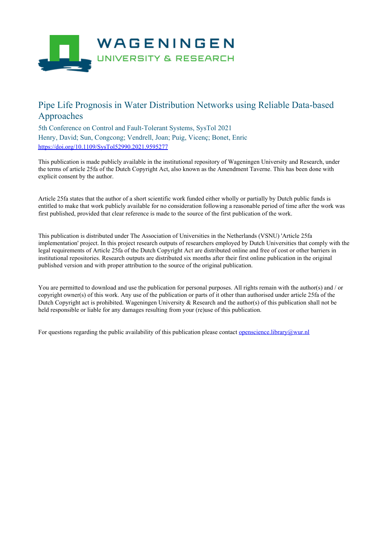

## Pipe Life Prognosis in Water Distribution Networks using Reliable Data-based Approaches

5th Conference on Control and Fault-Tolerant Systems, SysTol 2021 Henry, David; Sun, Congcong; Vendrell, Joan; Puig, Vicenç; Bonet, Enric <https://doi.org/10.1109/SysTol52990.2021.9595277>

This publication is made publicly available in the institutional repository of Wageningen University and Research, under the terms of article 25fa of the Dutch Copyright Act, also known as the Amendment Taverne. This has been done with explicit consent by the author.

Article 25fa states that the author of a short scientific work funded either wholly or partially by Dutch public funds is entitled to make that work publicly available for no consideration following a reasonable period of time after the work was first published, provided that clear reference is made to the source of the first publication of the work.

This publication is distributed under The Association of Universities in the Netherlands (VSNU) 'Article 25fa implementation' project. In this project research outputs of researchers employed by Dutch Universities that comply with the legal requirements of Article 25fa of the Dutch Copyright Act are distributed online and free of cost or other barriers in institutional repositories. Research outputs are distributed six months after their first online publication in the original published version and with proper attribution to the source of the original publication.

You are permitted to download and use the publication for personal purposes. All rights remain with the author(s) and / or copyright owner(s) of this work. Any use of the publication or parts of it other than authorised under article 25fa of the Dutch Copyright act is prohibited. Wageningen University & Research and the author(s) of this publication shall not be held responsible or liable for any damages resulting from your (re)use of this publication.

For questions regarding the public availability of this publication please contact [openscience.library@wur.nl](mailto:openscience.library@wur.nl)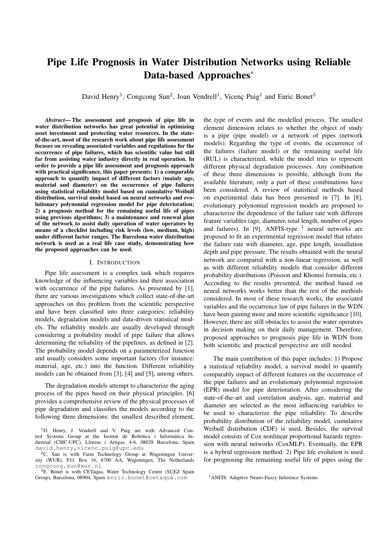# Pipe Life Prognosis in Water Distribution Networks using Reliable Data-based Approaches<sup>\*</sup>

David Henry<sup>1</sup>, Congcong Sun<sup>2</sup>, Joan Vendrell<sup>1</sup>, Vicenç Puig<sup>1</sup> and Enric Bonet<sup>3</sup>

*Abstract*— The assessment and prognosis of pipe life in water distribution networks has great potential in optimizing asset investment and protecting water resources. In the stateof-the-art, most of the research work about pipe life assessment focuses on revealing associated variables and regulations for the occurrence of pipe failures, which has scientific value but still far from assisting water industry directly in real operation. In order to provide a pipe life assessment and prognosis approach with practical significance, this paper presents: 1) a comparable approach to quantify impact of different factors (mainly age, material and diameter) on the occurrence of pipe failures using statistical reliability model based on cumulative Weibull distribution, survival model based on neural networks and evolutionary polynomial regression model for pipe deterioration; 2) a prognosis method for the remaining useful life of pipes using previous algorithms; 3) a maintenance and renewal plan of the network to assist daily operation of water operators by means of a checklist including risk levels (low, medium, high) under different factor ranges. The Barcelona water distribution network is used as a real life case study, demonstrating how the proposed approaches can be used.

#### I. INTRODUCTION

Pipe life assessment is a complex task which requires knowledge of the influencing variables and their association with occurrence of the pipe failures. As presented by [1], there are various investigations which collect state-of-the-art approaches on this problem from the scientific perspective and have been classified into three categories: reliability models, degradation models and data-driven statistical models. The reliability models are usually developed through considering a probability model of pipe failure that allows determining the reliability of the pipelines, as defined in [2]. The probability model depends on a parameterized function and usually considers some important factors (for instance: material, age, etc.) into the function. Different reliability models can be obtained from [3], [4] and [5], among others.

The degradation models attempt to characterize the aging process of the pipes based on their physical principles. [6] provides a comprehensive review of the physical processes of pipe degradation and classifies the models according to the following three dimensions: the smallest described element,

the type of events and the modelled process. The smallest element dimension relates to whether the object of study is a pipe (pipe model) or a network of pipes (network models). Regarding the type of events, the occurrence of the failures (failure model) or the remaining useful life (RUL) is characterized, while the model tries to represent different physical degradation processes. Any combination of these three dimensions is possible, although from the available literature, only a part of these combinations have been considered. A review of statistical methods based on experimental data has been presented in [7]. In [8], evolutionary polynomial regression models are proposed to characterize the dependence of the failure rate with different feature variables (age, diameter, total length, number of pipes and failures). In [9], ANFIS-type  $<sup>1</sup>$  neural networks are</sup> proposed to fit an experimental regression model that relates the failure rate with diameter, age, pipe length, installation depth and pipe pressure. The results obtained with the neural network are compared with a non-linear regression, as well as with different reliability models that consider different probability distributions (Poisson and Khomsi formula, etc.). According to the results presented, the method based on neural networks works better than the rest of the methods considered. In most of these research works, the associated variables and the occurrence law of pipe failures in the WDN have been gaining more and more scientific significance [10]. However, there are still obstacles to assist the water operators in decision making on their daily management. Therefore, proposed approaches to prognosis pipe life in WDN from both scientific and practical perspective are still needed.

The main contribution of this paper includes: 1) Propose a statistical reliability model, a survival model to quantify comparably impact of different features on the occurrence of the pipe failures and an evolutionary polynomial regression (EPR) model for pipe deterioration. After considering the state-of-the-art and correlation analysis, age, material and diameter are selected as the most influencing variables to be used to characterize the pipe reliability. To describe probability distribution of the reliability model, cumulative Weibull distribution (CDF) is used. Besides, the survival model consists of Cox nonlinear proportional hazards regression with neural networks (CoxMLP). Eventually, the EPR is a hybrid regression method. 2) Pipe life evolution is used for prognosing the remaining useful life of pipes using the

<sup>&</sup>lt;sup>1</sup>D. Henry, J. Vendrell and V. Puig are with Advanced Control Systems Group at the Institut de Robòtica i Informàtica Industrial (CSIC-UPC), Llorens i Artigas, 4-6, 08028 Barcelona, Spain david.henry, vicenc.puig@upc.edu

<sup>&</sup>lt;sup>2</sup>C. Sun is with Farm Technology Group at Wageningen University (WUR), P.O. Box 16, 6700 AA, Wageningen, The Netherlands congcong.sun@wur.nl

<sup>&</sup>lt;sup>3</sup>E. Bonet is with CETaqua, Water Technology Centre (SUEZ Spain Group), Barcelona, 08904, Spain enric.bonet@cetaqua.com

<sup>&</sup>lt;sup>1</sup> ANFIS: Adaptive Neuro-Fuzzy Inference Systems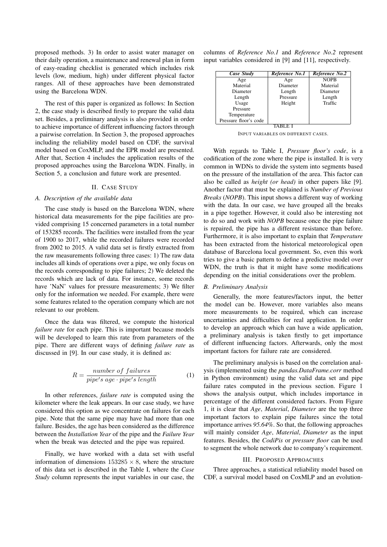proposed methods. 3) In order to assist water manager on their daily operation, a maintenance and renewal plan in form of easy-reading checklist is generated which includes risk levels (low, medium, high) under different physical factor ranges. All of these approaches have been demonstrated using the Barcelona WDN.

The rest of this paper is organized as follows: In Section 2, the case study is described firstly to prepare the valid data set. Besides, a preliminary analysis is also provided in order to achieve importance of different influencing factors through a pairwise correlation. In Section 3, the proposed approaches including the reliability model based on CDF, the survival model based on CoxMLP, and the EPR model are presented. After that, Section 4 includes the application results of the proposed approaches using the Barcelona WDN. Finally, in Section 5, a conclusion and future work are presented.

#### II. CASE STUDY

#### *A. Description of the available data*

The case study is based on the Barcelona WDN, where historical data measurements for the pipe facilities are provided comprising 15 concerned parameters in a total number of 153285 records. The facilities were installed from the year of 1900 to 2017, while the recorded failures were recorded from 2002 to 2015. A valid data set is firstly extracted from the raw measurements following three cases: 1) The raw data includes all kinds of operations over a pipe, we only focus on the records corresponding to pipe failures; 2) We deleted the records which are lack of data. For instance, some records have 'NaN' values for pressure measurements; 3) We filter only for the information we needed. For example, there were some features related to the operation company which are not relevant to our problem.

Once the data was filtered, we compute the historical *failure rate* for each pipe. This is important because models will be developed to learn this rate from parameters of the pipe. There are different ways of defining *failure rate* as discussed in [9]. In our case study, it is defined as:

$$
R = \frac{number\ of\ failures}{pipe's\ age \cdot pipe's\ length} \tag{1}
$$

In other references, *failure rate* is computed using the kilometer where the leak appears. In our case study, we have considered this option as we concentrate on failures for each pipe. Note that the same pipe may have had more than one failure. Besides, the age has been considered as the difference between the *Installation Year* of the pipe and the *Failure Year* when the break was detected and the pipe was repaired.

Finally, we have worked with a data set with useful information of dimensions  $153285 \times 8$ , where the structure of this data set is described in the Table I, where the *Case Study* column represents the input variables in our case, the columns of *Reference No.1* and *Reference No.2* represent input variables considered in [9] and [11], respectively.

| Case Study            | Reference No.1 | Reference No.2 |  |  |  |  |
|-----------------------|----------------|----------------|--|--|--|--|
| Age                   | Age            | <b>NOPB</b>    |  |  |  |  |
| Material              | Diameter       | Material       |  |  |  |  |
| Diameter              | Length         | Diameter       |  |  |  |  |
| Length                | Pressure       | Length         |  |  |  |  |
| Usage                 | Height         | Traffic        |  |  |  |  |
| Pressure              |                |                |  |  |  |  |
| Temperature           |                |                |  |  |  |  |
| Pressure floor's code |                |                |  |  |  |  |
|                       |                |                |  |  |  |  |

INPUT VARIABLES ON DIFFERENT CASES.

With regards to Table I, *Pressure floor's code*, is a codification of the zone where the pipe is installed. It is very common in WDNs to divide the system into segments based on the pressure of the installation of the area. This factor can also be called as *height (or head)* in other papers like [9]. Another factor that must be explained is *Number of Previous Breaks* (*NOPB*). This input shows a different way of working with the data. In our case, we have grouped all the breaks in a pipe together. However, it could also be interesting not to do so and work with *NOPB* because once the pipe failure is repaired, the pipe has a different resistance than before. Furthermore, it is also important to explain that *Temperature* has been extracted from the historical meteorological open database of Barcelona local government. So, even this work tries to give a basic pattern to define a predictive model over WDN, the truth is that it might have some modifications depending on the initial considerations over the problem.

### *B. Preliminary Analysis*

Generally, the more features/factors input, the better the model can be. However, more variables also means more measurements to be required, which can increase uncertainties and difficulties for real application. In order to develop an approach which can have a wide application, a preliminary analysis is taken firstly to get importance of different influencing factors. Afterwards, only the most important factors for failure rate are considered.

The preliminary analysis is based on the correlation analysis (implemented using the *pandas.DataFrame.corr* method in Python environment) using the valid data set and pipe failure rates computed in the previous section. Figure 1 shows the analysis output, which includes importance in percentage of the different considered factors. From Figure 1, it is clear that *Age*, *Material*, *Diameter* are the top three important factors to explain pipe failures since the total importance arrives *95.64%*. So that, the following approaches will mainly consider *Age*, *Material*, *Diameter* as the input features. Besides, the *CodiPis* or *pressure floor* can be used to segment the whole network due to company's requirement.

## III. PROPOSED APPROACHES

Three approaches, a statistical reliability model based on CDF, a survival model based on CoxMLP and an evolution-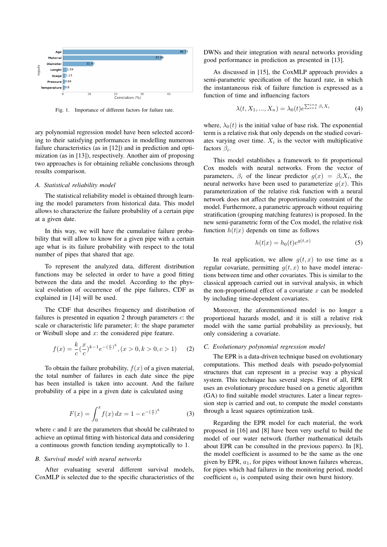

Fig. 1. Importance of different factors for failure rate.

ary polynomial regression model have been selected according to their satisfying performances in modelling numerous failure characteristics (as in [12]) and in prediction and optimization (as in [13]), respectively. Another aim of proposing two approaches is for obtaining reliable conclusions through results comparison.

#### *A. Statistical reliability model*

The statistical reliability model is obtained through learning the model parameters from historical data. This model allows to characterize the failure probability of a certain pipe at a given date.

In this way, we will have the cumulative failure probability that will allow to know for a given pipe with a certain age what is its failure probability with respect to the total number of pipes that shared that age.

To represent the analyzed data, different distribution functions may be selected in order to have a good fitting between the data and the model. According to the physical evolution of occurrence of the pipe failures, CDF as explained in [14] will be used.

The CDF that describes frequency and distribution of failures is presented in equation 2 through parameters  $c$ : the scale or characteristic life parameter;  $k$ : the shape parameter or Weibull slope and  $x$ : the considered pipe feature.

$$
f(x) = \frac{k}{c} \left(\frac{x}{c}\right)^{k-1} e^{-\left(\frac{x}{c}\right)^k}, (x > 0, k > 0, c > 1)
$$
 (2)

To obtain the failure probability,  $f(x)$  of a given material, the total number of failures in each date since the pipe has been installed is taken into account. And the failure probability of a pipe in a given date is calculated using

$$
F(x) = \int_0^x f(x) \, dx = 1 - e^{-\left(\frac{x}{c}\right)^k} \tag{3}
$$

where  $c$  and  $k$  are the parameters that should be calibrated to achieve an optimal fitting with historical data and considering a continuous growth function tending asymptotically to 1.

## *B. Survival model with neural networks*

After evaluating several different survival models, CoxMLP is selected due to the specific characteristics of the DWNs and their integration with neural networks providing good performance in prediction as presented in [13].

As discussed in [15], the CoxMLP approach provides a semi-parametric specification of the hazard rate, in which the instantaneous risk of failure function is expressed as a function of time and influencing factors

$$
\lambda(t, X_1, \dots, X_n) = \lambda_0(t) e^{\sum_{i=1}^{i=n} \beta_i X_i}
$$
\n
$$
(4)
$$

where,  $\lambda_0(t)$  is the initial value of base risk. The exponential term is a relative risk that only depends on the studied covariates varying over time.  $X_i$  is the vector with multiplicative factors  $\beta_i$ .

This model establishes a framework to fit proportional Cox models with neural networks. From the vector of parameters,  $\beta_i$  of the linear predictor  $g(x) = \beta_i X_i$ , the neural networks have been used to parameterize  $q(x)$ . This parameterization of the relative risk function with a neural network does not affect the proportionality constraint of the model. Furthermore, a parametric approach without requiring stratification (grouping matching features) is proposed. In the new semi-parametric form of the Cox model, the relative risk function  $h(t|x)$  depends on time as follows

$$
h(t|x) = h_0(t)e^{g(t,x)}
$$
\n<sup>(5)</sup>

In real application, we allow  $q(t, x)$  to use time as a regular covariate, permitting  $q(t, x)$  to have model interactions between time and other covariates. This is similar to the classical approach carried out in survival analysis, in which the non-proportional effect of a covariate  $x$  can be modeled by including time-dependent covariates.

Moreover, the aforementioned model is no longer a proportional hazards model, and it is still a relative risk model with the same partial probability as previously, but only considering a covariate.

## *C. Evolutionary polynomial regression model*

The EPR is a data-driven technique based on evolutionary computations. This method deals with pseudo-polynomial structures that can represent in a precise way a physical system. This technique has several steps. First of all, EPR uses an evolutionary procedure based on a genetic algorithm (GA) to find suitable model structures. Later a linear regression step is carried and out, to compute the model constants through a least squares optimization task.

Regarding the EPR model for each material, the work proposed in [16] and [8] have been very useful to build the model of our water network (further mathematical details about EPR can be consulted in the previous papers). In [8], the model coefficient is assumed to be the same as the one given by EPR,  $a_1$ , for pipes without known failures whereas, for pipes which had failures in the monitoring period, model coefficient  $a_i$  is computed using their own burst history.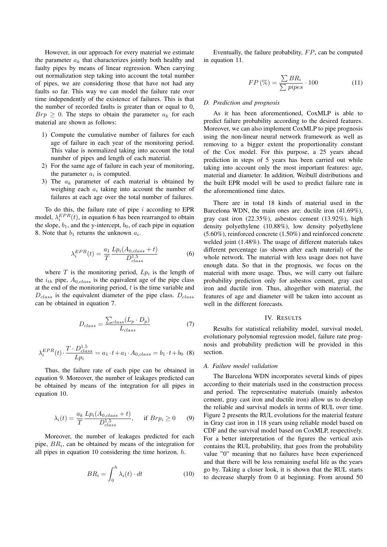However, in our approach for every material we estimate the parameter  $a_k$  that characterizes jointly both healthy and faulty pipes by means of linear regression. When carrying out normalization step taking into account the total number of pipes, we are considering those that have not had any faults so far. This way we can model the failure rate over time independently of the existence of failures. This is that the number of recorded faults is greater than or equal to 0,  $Brp \geq 0$ . The steps to obtain the parameter  $a_k$  for each material are shown as follows:

- 1) Compute the cumulative number of failures for each age of failure in each year of the monitoring period. This value is normalized taking into account the total number of pipes and length of each material.
- 2) For the same age of failure in each year of monitoring, the parameter  $a_i$  is computed.
- 3) The  $a_k$  parameter of each material is obtained by weighing each  $a_i$  taking into account the number of failures at each age over the total number of failures.

To do this, the failure rate of pipe  $i$  according to EPR model,  $\lambda_i^{EPR}(t)$ , in equation 6 has been rearranged to obtain the slope,  $b_1$ , and the y-intercept,  $b_0$ , of each pipe in equation 8. Note that  $b_1$  returns the unknown  $a_i$ .

$$
\lambda_i^{EPR}(t) = \frac{a_1}{T} \frac{L p_i (A_{0,class} + t)}{D_{class}^{1.5}}
$$
(6)

where  $T$  is the monitoring period,  $L p_i$  is the length of the  $i_{th}$  pipe,  $A_{0,class}$  is the equivalent age of the pipe class at the end of the monitoring period,  $t$  is the time variable and  $D_{class}$  is the equivalent diameter of the pipe class.  $D_{class}$ can be obtained in equation 7.

$$
D_{class} = \frac{\sum_{class} (L_p \cdot D_p)}{L_{class}} \tag{7}
$$

$$
\lambda_i^{EPR}(t) \cdot \frac{T \cdot D_{class}^{1.5}}{L p_i} = a_1 \cdot t + a_1 \cdot A_{0, class} = b_1 \cdot t + b_0
$$
 (8)

Thus, the failure rate of each pipe can be obtained in equation 9. Moreover, the number of leakages predicted can be obtained by means of the integration for all pipes in equation 10.

$$
\lambda_i(t) = \frac{a_k}{T} \frac{L p_i(A_{0,class} + t)}{D_{class}^{1.5}}, \quad \text{if } Br p_i \ge 0 \tag{9}
$$

Moreover, the number of leakages predicted for each pipe,  $BR<sub>i</sub>$ , can be obtained by means of the integration for all pipes in equation 10 considering the time horizon,  $h$ .

$$
BR_i = \int_0^h \lambda_i(t) \cdot dt \tag{10}
$$

Eventually, the failure probability,  $FP$ , can be computed in equation 11.

$$
FP\left(\% \right) = \frac{\sum BR_i}{\sum pipes} \cdot 100\tag{11}
$$

## *D. Prediction and prognosis*

As it has been aforementioned, CoxMLP is able to predict failure probability according to the desired features. Moreover, we can also implement CoxMLP to pipe prognosis using the non-linear neural network framework as well as removing to a bigger extent the proportionality constant of the Cox model. For this purpose, a 25 years ahead prediction in steps of 5 years has been carried out while taking into account only the most important features: age, material and diameter. In addition, Weibull distributions and the built EPR model will be used to predict failure rate in the aforementioned time dates.

There are in total 18 kinds of material used in the Barcelona WDN, the main ones are: ductile iron (41.69%), gray cast iron (22.35%), asbestos cement (13.92%), high density polyethylene (10.88%), low density polyethylene (5.60%), reinforced concrete (1.50%) and reinforced concrete welded joint (1.48%). The usage of different materials takes different percentage (as shown after each material) of the whole network. The material with less usage does not have enough data. So that in the prognosis, we focus on the material with more usage. Thus, we will carry out failure probability prediction only for asbestos cement, gray cast iron and ductile iron. Thus, altogether with material, the features of age and diameter will be taken into account as well in the different forecasts.

#### IV. RESULTS

Results for statistical reliability model, survival model, evolutionary polynomial regression model, failure rate prognosis and probability prediction will be provided in this section.

## *A. Failure model validation*

The Barcelona WDN incorporates several kinds of pipes according to their materials used in the construction process and period. The representative materials (mainly asbestos cement, gray cast iron and ductile iron) allow us to develop the reliable and survival models in terms of RUL over time. Figure 2 presents the RUL evolutions for the material feature in Gray cast iron in 118 years using reliable model based on CDF and the survival model based on CoxMLP, respectively. For a better interpretation of the figures the vertical axis contains the RUL probability, that goes from the probability value "0" meaning that no failures have been experienced and that there will be less remaining useful life as the years go by. Taking a closer look, it is shown that the RUL starts to decrease sharply from 0 at beginning. From around 50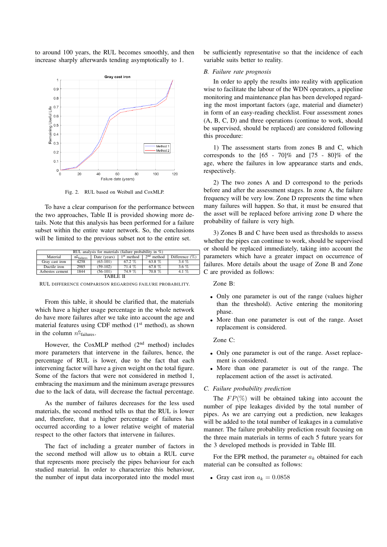to around 100 years, the RUL becomes smoothly, and then increase sharply afterwards tending asymptotically to 1.



Fig. 2. RUL based on Weibull and CoxMLP.

To have a clear comparison for the performance between the two approaches, Table II is provided showing more details. Note that this analysis has been performed for a failure subset within the entire water network. So, the conclusions will be limited to the previous subset not to the entire set.

| RUL analysis for materials (failure probability in $\%$ ) |                                |              |              |              |                   |  |
|-----------------------------------------------------------|--------------------------------|--------------|--------------|--------------|-------------------|--|
| Material                                                  | $n_{\text{failures}}^{\Omega}$ | Date (years) | $1st$ method | $2nd$ method | Difference $(\%)$ |  |
| Gray cast iron                                            | 4258                           | $(63-101)$   | $67.2\%$     | 63.8 %       | $3.4\%$           |  |
| Ductile iron                                              | 2985                           | $(59-102)$   | 71.4%        | 67.8 %       | $3.6\%$           |  |
| Asbestos cement                                           | 1844                           | $(56-101)$   | 74.9 %       | 70.8 %       | $4.1\%$           |  |
| TARI E II                                                 |                                |              |              |              |                   |  |

RUL DIFFERENCE COMPARISON REGARDING FAILURE PROBABILITY.

From this table, it should be clarified that, the materials which have a higher usage percentage in the whole network do have more failures after we take into account the age and material features using CDF method  $(1<sup>st</sup>$  method), as shown in the column  $n_{\text{failures}}^{\text{o}}$ .

However, the CoxMLP method  $(2<sup>nd</sup>$  method) includes more parameters that intervene in the failures, hence, the percentage of RUL is lower, due to the fact that each intervening factor will have a given weight on the total figure. Some of the factors that were not considered in method 1, embracing the maximum and the minimum average pressures due to the lack of data, will decrease the factual percentage.

As the number of failures decreases for the less used materials, the second method tells us that the RUL is lower and, therefore, that a higher percentage of failures has occurred according to a lower relative weight of material respect to the other factors that intervene in failures.

The fact of including a greater number of factors in the second method will allow us to obtain a RUL curve that represents more precisely the pipes behaviour for each studied material. In order to characterize this behaviour, the number of input data incorporated into the model must be sufficiently representative so that the incidence of each variable suits better to reality.

#### *B. Failure rate prognosis*

In order to apply the results into reality with application wise to facilitate the labour of the WDN operators, a pipeline monitoring and maintenance plan has been developed regarding the most important factors (age, material and diameter) in form of an easy-reading checklist. Four assessment zones (A, B, C, D) and three operations (continue to work, should be supervised, should be replaced) are considered following this procedure:

1) The assessment starts from zones B and C, which corresponds to the  $[65 - 70]\%$  and  $[75 - 80]\%$  of the age, where the failures in low appearance starts and ends, respectively.

2) The two zones A and D correspond to the periods before and after the assessment stages. In zone A, the failure frequency will be very low. Zone D represents the time when many failures will happen. So that, it must be ensured that the asset will be replaced before arriving zone D where the probability of failure is very high.

3) Zones B and C have been used as thresholds to assess whether the pipes can continue to work, should be supervised or should be replaced immediately, taking into account the parameters which have a greater impact on occurrence of failures. More details about the usage of Zone B and Zone C are provided as follows:

Zone B:

- Only one parameter is out of the range (values higher than the threshold). Active entering the monitoring phase.
- More than one parameter is out of the range. Asset replacement is considered.

Zone C:

- Only one parameter is out of the range. Asset replacement is considered.
- More than one parameter is out of the range. The replacement action of the asset is activated.

## *C. Failure probability prediction*

The  $FP(\%)$  will be obtained taking into account the number of pipe leakages divided by the total number of pipes. As we are carrying out a prediction, new leakages will be added to the total number of leakages in a cumulative manner. The failure probability prediction result focusing on the three main materials in terms of each 5 future years for the 3 developed methods is provided in Table III.

For the EPR method, the parameter  $a_k$  obtained for each material can be consulted as follows:

• Gray cast iron  $a_k = 0.0858$